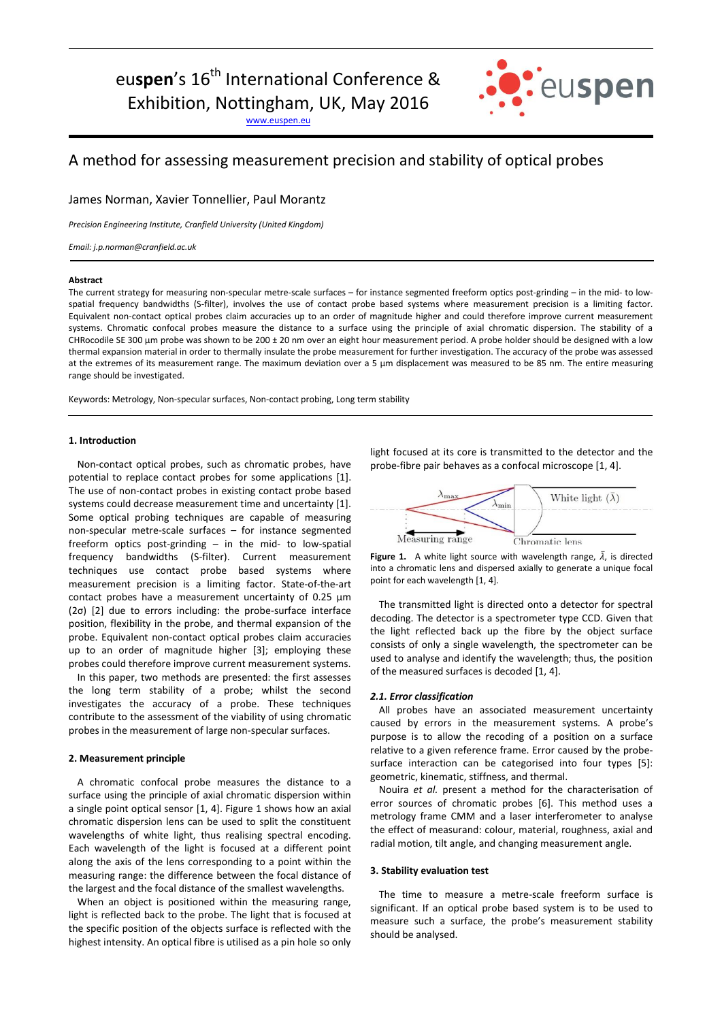[www.euspen.eu](http://www.euspen.eu/)



# A method for assessing measurement precision and stability of optical probes

James Norman, Xavier Tonnellier, Paul Morantz

*Precision Engineering Institute, Cranfield University (United Kingdom)*

*Email: j.p.norman@cranfield.ac.uk*

#### **Abstract**

The current strategy for measuring non-specular metre-scale surfaces – for instance segmented freeform optics post-grinding – in the mid- to lowspatial frequency bandwidths (S-filter), involves the use of contact probe based systems where measurement precision is a limiting factor. Equivalent non-contact optical probes claim accuracies up to an order of magnitude higher and could therefore improve current measurement systems. Chromatic confocal probes measure the distance to a surface using the principle of axial chromatic dispersion. The stability of a CHRocodile SE 300 µm probe was shown to be 200 ± 20 nm over an eight hour measurement period. A probe holder should be designed with a low thermal expansion material in order to thermally insulate the probe measurement for further investigation. The accuracy of the probe was assessed at the extremes of its measurement range. The maximum deviation over a 5 µm displacement was measured to be 85 nm. The entire measuring range should be investigated.

Keywords: Metrology, Non-specular surfaces, Non-contact probing, Long term stability

### **1. Introduction**

Non-contact optical probes, such as chromatic probes, have potential to replace contact probes for some applications [1]. The use of non-contact probes in existing contact probe based systems could decrease measurement time and uncertainty [1]. Some optical probing techniques are capable of measuring non-specular metre-scale surfaces – for instance segmented freeform optics post-grinding – in the mid- to low-spatial frequency bandwidths (S-filter). Current measurement techniques use contact probe based systems where measurement precision is a limiting factor. State-of-the-art contact probes have a measurement uncertainty of 0.25 µm (2σ) [2] due to errors including: the probe-surface interface position, flexibility in the probe, and thermal expansion of the probe. Equivalent non-contact optical probes claim accuracies up to an order of magnitude higher [3]; employing these probes could therefore improve current measurement systems.

In this paper, two methods are presented: the first assesses the long term stability of a probe; whilst the second investigates the accuracy of a probe. These techniques contribute to the assessment of the viability of using chromatic probes in the measurement of large non-specular surfaces.

### **2. Measurement principle**

A chromatic confocal probe measures the distance to a surface using the principle of axial chromatic dispersion within a single point optical sensor [1, 4]. Figure 1 shows how an axial chromatic dispersion lens can be used to split the constituent wavelengths of white light, thus realising spectral encoding. Each wavelength of the light is focused at a different point along the axis of the lens corresponding to a point within the measuring range: the difference between the focal distance of the largest and the focal distance of the smallest wavelengths.

When an object is positioned within the measuring range, light is reflected back to the probe. The light that is focused at the specific position of the objects surface is reflected with the highest intensity. An optical fibre is utilised as a pin hole so only light focused at its core is transmitted to the detector and the probe-fibre pair behaves as a confocal microscope [1, 4].



**Figure 1.** A white light source with wavelength range,  $\bar{\lambda}$ , is directed into a chromatic lens and dispersed axially to generate a unique focal point for each wavelength [1, 4].

The transmitted light is directed onto a detector for spectral decoding. The detector is a spectrometer type CCD. Given that the light reflected back up the fibre by the object surface consists of only a single wavelength, the spectrometer can be used to analyse and identify the wavelength; thus, the position of the measured surfaces is decoded [1, 4].

### *2.1. Error classification*

All probes have an associated measurement uncertainty caused by errors in the measurement systems. A probe's purpose is to allow the recoding of a position on a surface relative to a given reference frame. Error caused by the probesurface interaction can be categorised into four types [5]: geometric, kinematic, stiffness, and thermal.

Nouira *et al.* present a method for the characterisation of error sources of chromatic probes [6]. This method uses a metrology frame CMM and a laser interferometer to analyse the effect of measurand: colour, material, roughness, axial and radial motion, tilt angle, and changing measurement angle.

### **3. Stability evaluation test**

The time to measure a metre-scale freeform surface is significant. If an optical probe based system is to be used to measure such a surface, the probe's measurement stability should be analysed.